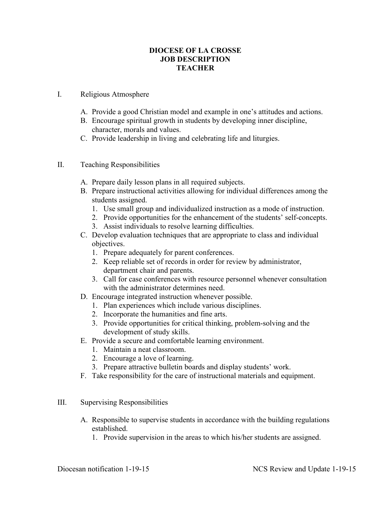## **DIOCESE OF LA CROSSE JOB DESCRIPTION TEACHER**

## I. Religious Atmosphere

- A. Provide a good Christian model and example in one's attitudes and actions.
- B. Encourage spiritual growth in students by developing inner discipline, character, morals and values.
- C. Provide leadership in living and celebrating life and liturgies.
- II. Teaching Responsibilities
	- A. Prepare daily lesson plans in all required subjects.
	- B. Prepare instructional activities allowing for individual differences among the students assigned.
		- 1. Use small group and individualized instruction as a mode of instruction.
		- 2. Provide opportunities for the enhancement of the students' self-concepts.
		- 3. Assist individuals to resolve learning difficulties.
	- C. Develop evaluation techniques that are appropriate to class and individual objectives.
		- 1. Prepare adequately for parent conferences.
		- 2. Keep reliable set of records in order for review by administrator, department chair and parents.
		- 3. Call for case conferences with resource personnel whenever consultation with the administrator determines need.
	- D. Encourage integrated instruction whenever possible.
		- 1. Plan experiences which include various disciplines.
		- 2. Incorporate the humanities and fine arts.
		- 3. Provide opportunities for critical thinking, problem-solving and the development of study skills.
	- E. Provide a secure and comfortable learning environment.
		- 1. Maintain a neat classroom.
		- 2. Encourage a love of learning.
		- 3. Prepare attractive bulletin boards and display students' work.
	- F. Take responsibility for the care of instructional materials and equipment.

## III. Supervising Responsibilities

- A. Responsible to supervise students in accordance with the building regulations established.
	- 1. Provide supervision in the areas to which his/her students are assigned.